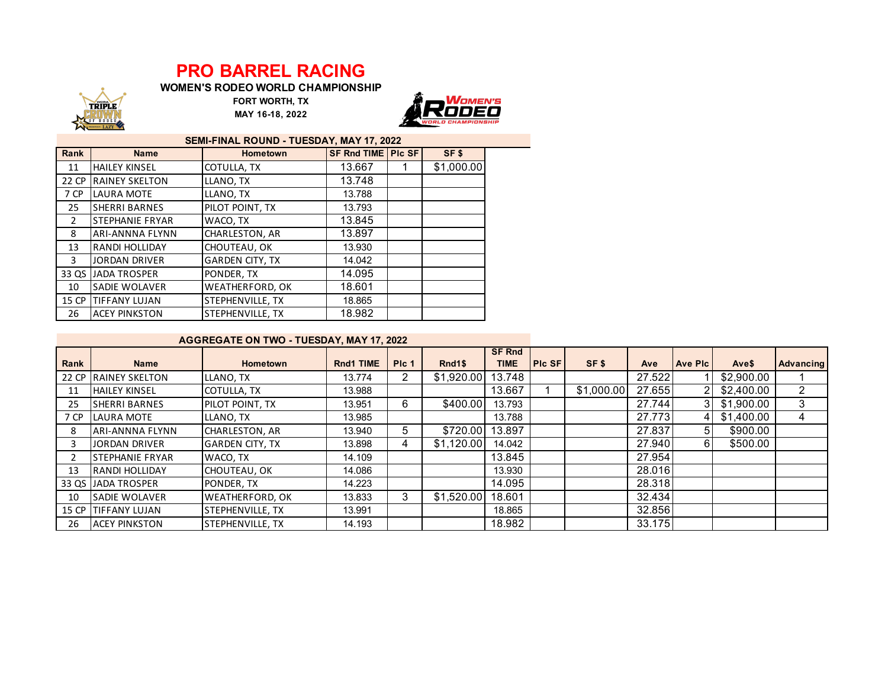## **PRO BARREL RACING**

**WOMEN'S RODEO WORLD CHAMPIONSHIP**



**MAY 16-18, 2022 FORT WORTH, TX**



| SEMI-FINAL ROUND - TUESDAY, MAY 17, 2022 |                        |                        |                    |  |                  |  |  |  |  |  |
|------------------------------------------|------------------------|------------------------|--------------------|--|------------------|--|--|--|--|--|
| Rank                                     | <b>Name</b>            | <b>Hometown</b>        | SF Rnd TIME PIc SF |  | SF <sub>\$</sub> |  |  |  |  |  |
| 11                                       | <b>HAILEY KINSEL</b>   | COTULLA, TX            | 13.667             |  | \$1,000.00       |  |  |  |  |  |
| 22 CP                                    | <b>RAINEY SKELTON</b>  | LLANO, TX              | 13.748             |  |                  |  |  |  |  |  |
| 7 CP                                     | <b>LAURA MOTE</b>      | LLANO, TX              | 13.788             |  |                  |  |  |  |  |  |
| 25                                       | <b>SHERRI BARNES</b>   | PILOT POINT, TX        | 13.793             |  |                  |  |  |  |  |  |
| $\mathcal{P}$                            | <b>STEPHANIE FRYAR</b> | WACO, TX               | 13.845             |  |                  |  |  |  |  |  |
| 8                                        | <b>ARI-ANNNA FLYNN</b> | CHARLESTON, AR         | 13.897             |  |                  |  |  |  |  |  |
| 13                                       | <b>RANDI HOLLIDAY</b>  | CHOUTEAU, OK           | 13.930             |  |                  |  |  |  |  |  |
| 3                                        | <b>JORDAN DRIVER</b>   | <b>GARDEN CITY, TX</b> | 14.042             |  |                  |  |  |  |  |  |
| 33 QS I                                  | <b>JADA TROSPER</b>    | PONDER, TX             | 14.095             |  |                  |  |  |  |  |  |
| 10                                       | <b>SADIE WOLAVER</b>   | WEATHERFORD, OK        | 18.601             |  |                  |  |  |  |  |  |
| 15 CP                                    | <b>TIFFANY LUJAN</b>   | STEPHENVILLE, TX       | 18.865             |  |                  |  |  |  |  |  |
| 26                                       | <b>ACEY PINKSTON</b>   | STEPHENVILLE, TX       | 18.982             |  |                  |  |  |  |  |  |

## **AGGREGATE ON TWO - TUESDAY, MAY 17, 2022**

| Rank  | <b>Name</b>                 | <b>Hometown</b>        | <b>Rnd1 TIME</b> | PIc 1 | Rnd <sub>1\$</sub> | <b>SF Rnd</b><br><b>TIME</b> | <b>PIC SF</b> | SF\$       | Ave    | <b>Ave Pic</b> | Ave\$      | <b>Advancing</b> |
|-------|-----------------------------|------------------------|------------------|-------|--------------------|------------------------------|---------------|------------|--------|----------------|------------|------------------|
|       | <b>22 CP RAINEY SKELTON</b> | LLANO, TX              | 13.774           | 2     | \$1,920.00 13.748  |                              |               |            | 27.522 |                | \$2,900.00 |                  |
|       |                             |                        |                  |       |                    |                              |               |            |        |                |            |                  |
| 11    | <b>HAILEY KINSEL</b>        | COTULLA, TX            | 13.988           |       |                    | 13.667                       |               | \$1,000.00 | 27.655 | 21             | \$2,400.00 | 2                |
| 25    | <b>SHERRI BARNES</b>        | PILOT POINT, TX        | 13.951           | 6.    | \$400.00           | 13.793                       |               |            | 27.744 | 3 I            | \$1,900.00 | 3                |
| 7 CP  | <b>LAURA MOTE</b>           | LLANO, TX              | 13.985           |       |                    | 13.788                       |               |            | 27.773 | 41             | \$1,400.00 | 4                |
| 8     | <b>JARI-ANNNA FLYNN</b>     | CHARLESTON, AR         | 13.940           | 5.    | \$720.00           | 13.897                       |               |            | 27.837 | 51             | \$900.00   |                  |
|       | JORDAN DRIVER               | <b>GARDEN CITY, TX</b> | 13.898           | 4     | \$1.120.00         | 14.042                       |               |            | 27.940 | 61             | \$500.00   |                  |
|       | <b>STEPHANIE FRYAR</b>      | WACO, TX               | 14.109           |       |                    | 13.845                       |               |            | 27.954 |                |            |                  |
| 13    | <b>RANDI HOLLIDAY</b>       | CHOUTEAU, OK           | 14.086           |       |                    | 13.930                       |               |            | 28.016 |                |            |                  |
|       | 33 QS JADA TROSPER          | PONDER, TX             | 14.223           |       |                    | 14.095                       |               |            | 28.318 |                |            |                  |
| 10    | <b>SADIE WOLAVER</b>        | <b>WEATHERFORD, OK</b> | 13.833           | 3     | \$1,520.00         | 18.601                       |               |            | 32.434 |                |            |                  |
| 15 CP | <b>ITIFFANY LUJAN</b>       | STEPHENVILLE, TX       | 13.991           |       |                    | 18.865                       |               |            | 32.856 |                |            |                  |
| 26    | <b>ACEY PINKSTON</b>        | STEPHENVILLE, TX       | 14.193           |       |                    | 18.982                       |               |            | 33.175 |                |            |                  |